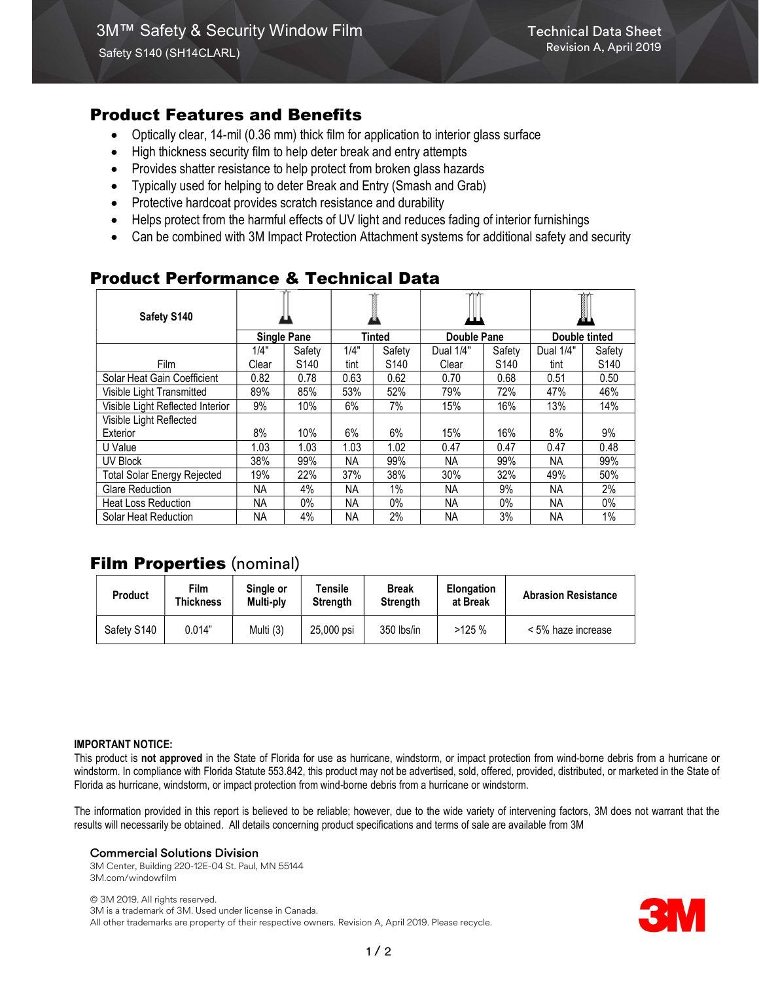## Product Features and Benefits

- Optically clear, 14-mil (0.36 mm) thick film for application to interior glass surface
- High thickness security film to help deter break and entry attempts
- Provides shatter resistance to help protect from broken glass hazards
- Typically used for helping to deter Break and Entry (Smash and Grab)
- Protective hardcoat provides scratch resistance and durability
- Helps protect from the harmful effects of UV light and reduces fading of interior furnishings
- Can be combined with 3M Impact Protection Attachment systems for additional safety and security

# Product Performance & Technical Data

| Safety S140                        |                    |                  |               |                  |                    |                  | 1             |                  |
|------------------------------------|--------------------|------------------|---------------|------------------|--------------------|------------------|---------------|------------------|
|                                    | <b>Single Pane</b> |                  | <b>Tinted</b> |                  | <b>Double Pane</b> |                  | Double tinted |                  |
|                                    | 1/4"               | Safety           | 1/4"          | Safety           | Dual 1/4"          | Safety           | Dual 1/4"     | Safety           |
| <b>Film</b>                        | Clear              | S <sub>140</sub> | tint          | S <sub>140</sub> | Clear              | S <sub>140</sub> | tint          | S <sub>140</sub> |
| Solar Heat Gain Coefficient        | 0.82               | 0.78             | 0.63          | 0.62             | 0.70               | 0.68             | 0.51          | 0.50             |
| Visible Light Transmitted          | 89%                | 85%              | 53%           | 52%              | 79%                | 72%              | 47%           | 46%              |
| Visible Light Reflected Interior   | 9%                 | 10%              | 6%            | 7%               | 15%                | 16%              | 13%           | 14%              |
| Visible Light Reflected            |                    |                  |               |                  |                    |                  |               |                  |
| Exterior                           | 8%                 | 10%              | 6%            | 6%               | 15%                | 16%              | 8%            | 9%               |
| U Value                            | 1.03               | 1.03             | 1.03          | 1.02             | 0.47               | 0.47             | 0.47          | 0.48             |
| <b>UV Block</b>                    | 38%                | 99%              | NA.           | 99%              | NA.                | 99%              | <b>NA</b>     | 99%              |
| <b>Total Solar Energy Rejected</b> | 19%                | 22%              | 37%           | 38%              | 30%                | 32%              | 49%           | 50%              |
| <b>Glare Reduction</b>             | NA.                | 4%               | NA.           | 1%               | NA.                | 9%               | NA            | 2%               |
| <b>Heat Loss Reduction</b>         | NA.                | 0%               | NA.           | $0\%$            | NA.                | 0%               | NA.           | 0%               |
| Solar Heat Reduction               | NA.                | 4%               | NA.           | 2%               | NA                 | 3%               | NA            | 1%               |

# **Film Properties (nominal)**

| <b>Product</b> | Film<br>Thickness | Single or<br>Multi-ply | Tensile<br><b>Strength</b> | <b>Break</b><br><b>Strength</b> | <b>Elongation</b><br>at Break | <b>Abrasion Resistance</b> |
|----------------|-------------------|------------------------|----------------------------|---------------------------------|-------------------------------|----------------------------|
| Safety S140    | 0.014"            | Multi (3)              | 25,000 psi                 | 350 lbs/in                      | >125%                         | < 5% haze increase         |

#### IMPORTANT NOTICE:

This product is not approved in the State of Florida for use as hurricane, windstorm, or impact protection from wind-borne debris from a hurricane or windstorm. In compliance with Florida Statute 553.842, this product may not be advertised, sold, offered, provided, distributed, or marketed in the State of Florida as hurricane, windstorm, or impact protection from wind-borne debris from a hurricane or windstorm.

The information provided in this report is believed to be reliable; however, due to the wide variety of intervening factors, 3M does not warrant that the results will necessarily be obtained. All details concerning product specifications and terms of sale are available from 3M

### Commercial Solutions Division

3M Center, Building 220-12E-04 St. Paul, MN 55144 3M.com/windowfilm

© 3M 2019. All rights reserved. 3M is a trademark of 3M. Used under license in Canada. All other trademarks are property of their respective owners. Revision A, April 2019. Please recycle.